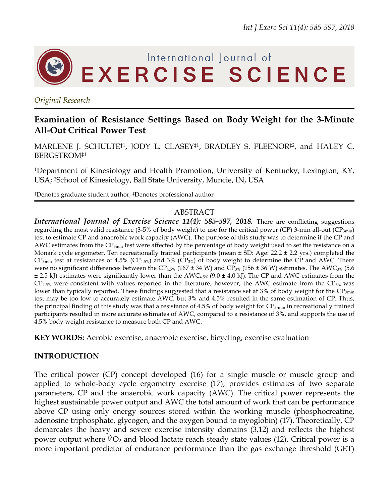

## *Original Research*

# **Examination of Resistance Settings Based on Body Weight for the 3-Minute All-Out Critical Power Test**

MARLENE J. SCHULTE<sup>†1</sup>, JODY L. CLASEY<sup>‡1</sup>, BRADLEY S. FLEENOR<sup>‡2</sup>, and HALEY C. BERGSTROM‡1

1Department of Kinesiology and Health Promotion, University of Kentucky, Lexington, KY, USA; 2School of Kinesiology, Ball State University, Muncie, IN, USA

†Denotes graduate student author, ‡Denotes professional author

### ABSTRACT

*International Journal of Exercise Science 11(4): 585-597, 2018. There are conflicting suggestions* regarding the most valid resistance (3-5% of body weight) to use for the critical power (CP) 3-min all-out ( $CP_{3min}$ ) test to estimate CP and anaerobic work capacity (AWC). The purpose of this study was to determine if the CP and AWC estimates from the  $CP_{3min}$  test were affected by the percentage of body weight used to set the resistance on a Monark cycle ergometer. Ten recreationally trained participants (mean ± SD: Age: 22.2 ± 2.2 yrs.) completed the  $CP_{3min}$  test at resistances of 4.5% (CP<sub>4.5%</sub>) and 3% (CP<sub>3%</sub>) of body weight to determine the CP and AWC. There were no significant differences between the CP<sub>4.5%</sub> (167 ± 34 W) and CP<sub>3%</sub> (156 ± 36 W) estimates. The AWC<sub>3%</sub> (5.6  $\pm$  2.5 kJ) estimates were significantly lower than the AWC<sub>4.5%</sub> (9.0  $\pm$  4.0 kJ). The CP and AWC estimates from the  $CP_{4.5\%}$  were consistent with values reported in the literature, however, the AWC estimate from the CP<sub>3%</sub> was lower than typically reported. These findings suggested that a resistance set at  $3\%$  of body weight for the CP<sub>3min</sub> test may be too low to accurately estimate AWC, but 3% and 4.5% resulted in the same estimation of CP. Thus, the principal finding of this study was that a resistance of 4.5% of body weight for  $CP_{3-min}$  in recreationally trained participants resulted in more accurate estimates of AWC, compared to a resistance of 3%, and supports the use of 4.5% body weight resistance to measure both CP and AWC.

**KEY WORDS:** Aerobic exercise, anaerobic exercise, bicycling, exercise evaluation

# **INTRODUCTION**

The critical power (CP) concept developed (16) for a single muscle or muscle group and applied to whole-body cycle ergometry exercise (17), provides estimates of two separate parameters, CP and the anaerobic work capacity (AWC). The critical power represents the highest sustainable power output and AWC the total amount of work that can be performance above CP using only energy sources stored within the working muscle (phosphocreatine, adenosine triphosphate, glycogen, and the oxygen bound to myoglobin) (17). Theoretically, CP demarcates the heavy and severe exercise intensity domains (3,12) and reflects the highest power output where  $\dot{V}O_2$  and blood lactate reach steady state values (12). Critical power is a more important predictor of endurance performance than the gas exchange threshold (GET)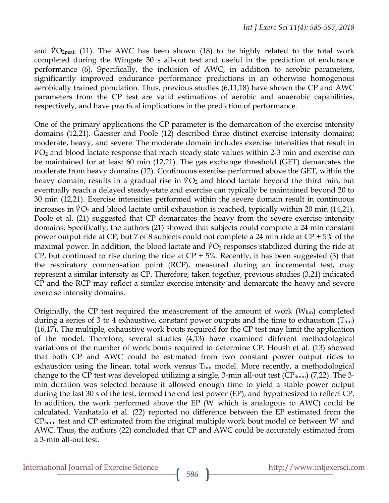and  $VO_{2peak}$  (11). The AWC has been shown (18) to be highly related to the total work completed during the Wingate 30 s all-out test and useful in the prediction of endurance performance (6). Specifically, the inclusion of AWC, in addition to aerobic parameters, significantly improved endurance performance predictions in an otherwise homogenous aerobically trained population. Thus, previous studies (6,11,18) have shown the CP and AWC parameters from the CP test are valid estimations of aerobic and anaerobic capabilities, respectively, and have practical implications in the prediction of performance.

One of the primary applications the CP parameter is the demarcation of the exercise intensity domains (12,21). Gaesser and Poole (12) described three distinct exercise intensity domains; moderate, heavy, and severe. The moderate domain includes exercise intensities that result in  $\dot{V}O_2$  and blood lactate response that reach steady state values within 2-3 min and exercise can be maintained for at least 60 min (12,21). The gas exchange threshold (GET) demarcates the moderate from heavy domains (12). Continuous exercise performed above the GET, within the heavy domain, results in a gradual rise in  $\dot{V}O_2$  and blood lactate beyond the third min, but eventually reach a delayed steady-state and exercise can typically be maintained beyond 20 to 30 min (12,21). Exercise intensities performed within the severe domain result in continuous increases in  $\dot{V}O_2$  and blood lactate until exhaustion is reached, typically within 20 min (14,21). Poole et al. (21) suggested that CP demarcates the heavy from the severe exercise intensity domains. Specifically, the authors (21) showed that subjects could complete a 24 min constant power output ride at CP, but 7 of 8 subjects could not complete a 24 min ride at CP + 5% of the maximal power. In addition, the blood lactate and  $\dot{V}O_2$  responses stabilized during the ride at CP, but continued to rise during the ride at  $CP + 5\%$ . Recently, it has been suggested (3) that the respiratory compensation point (RCP), measured during an incremental test, may represent a similar intensity as CP. Therefore, taken together, previous studies (3,21) indicated CP and the RCP may reflect a similar exercise intensity and demarcate the heavy and severe exercise intensity domains.

Originally, the CP test required the measurement of the amount of work  $(W_{lim})$  completed during a series of 3 to 4 exhaustive, constant power outputs and the time to exhaustion  $(T_{lim})$ (16,17). The multiple, exhaustive work bouts required for the CP test may limit the application of the model. Therefore, several studies (4,13) have examined different methodological variations of the number of work bouts required to determine CP. Housh et al. (13) showed that both CP and AWC could be estimated from two constant power output rides to exhaustion using the linear, total work versus  $T_{\text{lim}}$  model. More recently, a methodological change to the CP test was developed utilizing a single, 3-min all-out test ( $CP_{3min}$ ) (7,22). The 3min duration was selected because it allowed enough time to yield a stable power output during the last 30 s of the test, termed the end test power (EP), and hypothesized to reflect CP. In addition, the work performed above the EP (W' which is analogous to AWC) could be calculated. Vanhatalo et al. (22) reported no difference between the EP estimated from the  $CP_{3min}$  test and CP estimated from the original multiple work bout model or between W' and AWC. Thus, the authors (22) concluded that CP and AWC could be accurately estimated from a 3-min all-out test.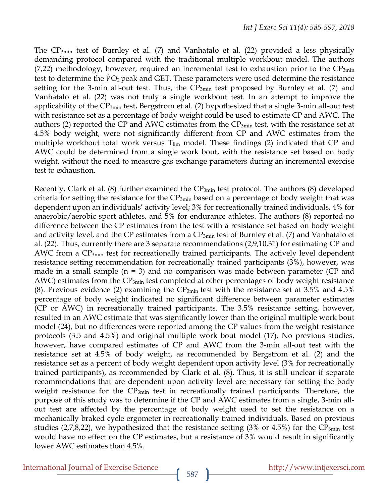The  $CP_{3min}$  test of Burnley et al. (7) and Vanhatalo et al. (22) provided a less physically demanding protocol compared with the traditional multiple workbout model. The authors (7,22) methodology, however, required an incremental test to exhaustion prior to the  $CP_{3min}$ test to determine the  $\dot{V}O_2$  peak and GET. These parameters were used determine the resistance setting for the 3-min all-out test. Thus, the  $CP_{3min}$  test proposed by Burnley et al. (7) and Vanhatalo et al. (22) was not truly a single workbout test. In an attempt to improve the applicability of the  $CP_{3min}$  test, Bergstrom et al. (2) hypothesized that a single 3-min all-out test with resistance set as a percentage of body weight could be used to estimate CP and AWC. The authors (2) reported the CP and AWC estimates from the  $CP_{3min}$  test, with the resistance set at 4.5% body weight, were not significantly different from CP and AWC estimates from the multiple workbout total work versus  $T_{\text{lim}}$  model. These findings (2) indicated that CP and AWC could be determined from a single work bout, with the resistance set based on body weight, without the need to measure gas exchange parameters during an incremental exercise test to exhaustion.

Recently, Clark et al. (8) further examined the  $CP_{3min}$  test protocol. The authors (8) developed criteria for setting the resistance for the  $CP_{3min}$  based on a percentage of body weight that was dependent upon an individuals' activity level; 3% for recreationally trained individuals, 4% for anaerobic/aerobic sport athletes, and 5% for endurance athletes. The authors (8) reported no difference between the CP estimates from the test with a resistance set based on body weight and activity level, and the CP estimates from a CP<sub>3min</sub> test of Burnley et al. (7) and Vanhatalo et al. (22). Thus, currently there are 3 separate recommendations (2,9,10,31) for estimating CP and AWC from a  $CP_{3min}$  test for recreationally trained participants. The actively level dependent resistance setting recommendation for recreationally trained participants (3%), however, was made in a small sample  $(n = 3)$  and no comparison was made between parameter (CP and AWC) estimates from the  $CP_{3min}$  test completed at other percentages of body weight resistance (8). Previous evidence (2) examining the  $CP_{3min}$  test with the resistance set at 3.5% and 4.5% percentage of body weight indicated no significant difference between parameter estimates (CP or AWC) in recreationally trained participants. The 3.5% resistance setting, however, resulted in an AWC estimate that was significantly lower than the original multiple work bout model (24), but no differences were reported among the CP values from the weight resistance protocols (3.5 and 4.5%) and original multiple work bout model (17). No previous studies, however, have compared estimates of CP and AWC from the 3-min all-out test with the resistance set at 4.5% of body weight, as recommended by Bergstrom et al. (2) and the resistance set as a percent of body weight dependent upon activity level (3% for recreationally trained participants), as recommended by Clark et al. (8). Thus, it is still unclear if separate recommendations that are dependent upon activity level are necessary for setting the body weight resistance for the CP<sub>3min</sub> test in recreationally trained participants. Therefore, the purpose of this study was to determine if the CP and AWC estimates from a single, 3-min allout test are affected by the percentage of body weight used to set the resistance on a mechanically braked cycle ergometer in recreationally trained individuals. Based on previous studies (2,7,8,22), we hypothesized that the resistance setting (3% or 4.5%) for the  $CP_{3min}$  test would have no effect on the CP estimates, but a resistance of 3% would result in significantly lower AWC estimates than 4.5%.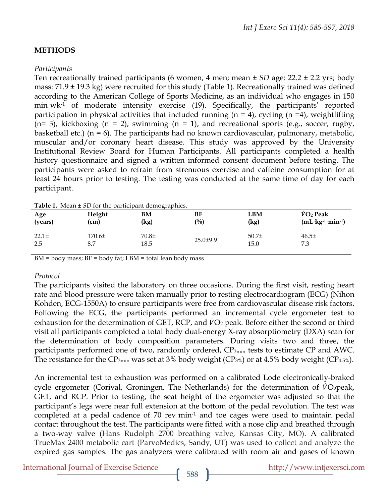# **METHODS**

## *Participants*

Ten recreationally trained participants (6 women, 4 men; mean ± *SD* age: 22.2 ± 2.2 yrs; body mass: 71.9 ± 19.3 kg) were recruited for this study (Table 1). Recreationally trained was defined according to the American College of Sports Medicine, as an individual who engages in 150 min  $wk<sup>-1</sup>$  of moderate intensity exercise (19). Specifically, the participants' reported participation in physical activities that included running ( $n = 4$ ), cycling ( $n = 4$ ), weightlifting  $(n= 3)$ , kickboxing  $(n = 2)$ , swimming  $(n = 1)$ , and recreational sports (e.g., soccer, rugby, basketball etc.) ( $n = 6$ ). The participants had no known cardiovascular, pulmonary, metabolic, muscular and/or coronary heart disease. This study was approved by the University Institutional Review Board for Human Participants. All participants completed a health history questionnaire and signed a written informed consent document before testing. The participants were asked to refrain from strenuous exercise and caffeine consumption for at least 24 hours prior to testing. The testing was conducted at the same time of day for each participant.

| <b>Table 1.</b> Mican $\pm$ 5D for the participant demographics. |                   |                 |                |                           |                           |  |
|------------------------------------------------------------------|-------------------|-----------------|----------------|---------------------------|---------------------------|--|
| Age                                                              | Height            | BМ              | BF             | LBM                       | $\dot{V}O_2$ Peak         |  |
| (years)                                                          | (cm)              | (kg)            | (0/0)          | (kg)                      | $(mL \text{ kg-1 min-1})$ |  |
| $22.1\pm$<br>2.5                                                 | $170.6\pm$<br>8.7 | $70.8+$<br>18.5 | $25.0 \pm 9.9$ | 50.7 <sub>±</sub><br>15.0 | 46.5±<br>7.3              |  |

BM = body mass; BF = body fat; LBM = total lean body mass

## *Protocol*

The participants visited the laboratory on three occasions. During the first visit, resting heart rate and blood pressure were taken manually prior to resting electrocardiogram (ECG) (Nihon Kohden, ECG-1550A) to ensure participants were free from cardiovascular disease risk factors. Following the ECG, the participants performed an incremental cycle ergometer test to exhaustion for the determination of GET, RCP, and  $\dot{V}O_2$  peak. Before either the second or third visit all participants completed a total body dual-energy X-ray absorptiometry (DXA) scan for the determination of body composition parameters. During visits two and three, the participants performed one of two, randomly ordered, CP<sub>3min</sub> tests to estimate CP and AWC. The resistance for the  $CP_{3min}$  was set at 3% body weight ( $CP_{3%}$ ) or at 4.5% body weight ( $CP_{4.5%}$ ).

An incremental test to exhaustion was performed on a calibrated Lode electronically-braked cycle ergometer (Corival, Groningen, The Netherlands) for the determination of  $\dot{V}O_2$  peak, GET, and RCP. Prior to testing, the seat height of the ergometer was adjusted so that the participant's legs were near full extension at the bottom of the pedal revolution. The test was completed at a pedal cadence of 70 rev min<sup>-1</sup> and toe cages were used to maintain pedal contact throughout the test. The participants were fitted with a nose clip and breathed through a two-way valve (Hans Rudolph 2700 breathing valve, Kansas City, MO). A calibrated TrueMax 2400 metabolic cart (ParvoMedics, Sandy, UT) was used to collect and analyze the expired gas samples. The gas analyzers were calibrated with room air and gases of known

International Journal of Exercise Science http://www.intjexersci.com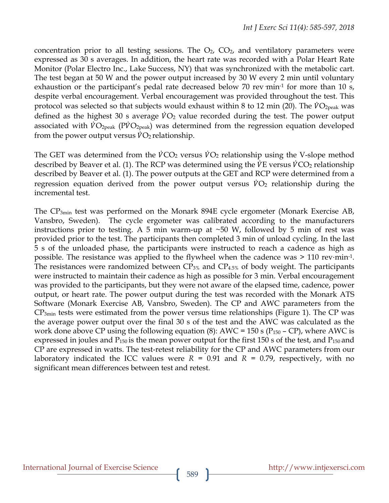concentration prior to all testing sessions. The  $O_2$ ,  $CO_2$ , and ventilatory parameters were expressed as 30 s averages. In addition, the heart rate was recorded with a Polar Heart Rate Monitor (Polar Electro Inc., Lake Success, NY) that was synchronized with the metabolic cart. The test began at 50 W and the power output increased by 30 W every 2 min until voluntary exhaustion or the participant's pedal rate decreased below 70 rev min<sup>-1</sup> for more than 10 s, despite verbal encouragement. Verbal encouragement was provided throughout the test. This protocol was selected so that subjects would exhaust within 8 to 12 min (20). The  $\dot{V}O_{2\text{peak}}$  was defined as the highest 30 s average  $\dot{V}O_2$  value recorded during the test. The power output associated with  $\dot{V}O_{2\text{peak}}$  (P $\dot{V}O_{2\text{peak}}$ ) was determined from the regression equation developed from the power output versus  $\dot{V}O_2$  relationship.

The GET was determined from the  $\dot{V}CO_2$  versus  $\dot{V}O_2$  relationship using the V-slope method described by Beaver et al. (1). The RCP was determined using the  $\dot{V}E$  versus  $\dot{V}CO_2$  relationship described by Beaver et al. (1). The power outputs at the GET and RCP were determined from a regression equation derived from the power output versus  $\dot{V}O_2$  relationship during the incremental test.

The CP3min test was performed on the Monark 894E cycle ergometer (Monark Exercise AB, Vansbro, Sweden). The cycle ergometer was calibrated according to the manufacturers instructions prior to testing. A 5 min warm-up at  $\sim$  50 W, followed by 5 min of rest was provided prior to the test. The participants then completed 3 min of unload cycling. In the last 5 s of the unloaded phase, the participants were instructed to reach a cadence as high as possible. The resistance was applied to the flywheel when the cadence was  $> 110$  rev⋅min-1. The resistances were randomized between  $CP_{3\%}$  and  $CP_{4.5\%}$  of body weight. The participants were instructed to maintain their cadence as high as possible for 3 min. Verbal encouragement was provided to the participants, but they were not aware of the elapsed time, cadence, power output, or heart rate. The power output during the test was recorded with the Monark ATS Software (Monark Exercise AB, Vansbro, Sweden). The CP and AWC parameters from the CP3min tests were estimated from the power versus time relationships (Figure 1). The CP was the average power output over the final 30 s of the test and the AWC was calculated as the work done above CP using the following equation (8): AWC = 150 s ( $P_{150}$  – CP), where AWC is expressed in joules and P<sub>150</sub> is the mean power output for the first 150 s of the test, and P<sub>150</sub> and CP are expressed in watts. The test-retest reliability for the CP and AWC parameters from our laboratory indicated the ICC values were  $R = 0.91$  and  $R = 0.79$ , respectively, with no significant mean differences between test and retest.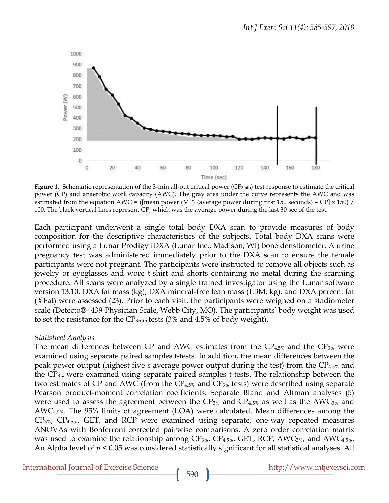

Figure 1. Schematic representation of the 3-min all-out critical power (CP<sub>3min</sub>) test response to estimate the critical power (CP) and anaerobic work capacity (AWC). The gray area under the curve represents the AWC and was estimated from the equation AWC = ([mean power (MP) (average power during first 150 seconds) – CP] x 150) / 100. The black vertical lines represent CP, which was the average power during the last 30 sec of the test.

Each participant underwent a single total body DXA scan to provide measures of body composition for the descriptive characteristics of the subjects. Total body DXA scans were performed using a Lunar Prodigy iDXA (Lunar Inc., Madison, WI) bone densitometer. A urine pregnancy test was administered immediately prior to the DXA scan to ensure the female participants were not pregnant. The participants were instructed to remove all objects such as jewelry or eyeglasses and wore t-shirt and shorts containing no metal during the scanning procedure. All scans were analyzed by a single trained investigator using the Lunar software version 13.10. DXA fat mass (kg), DXA mineral-free lean mass (LBM; kg), and DXA percent fat (%Fat) were assessed (23). Prior to each visit, the participants were weighed on a stadiometer scale (Detecto®- 439-Physician Scale, Webb City, MO). The participants' body weight was used to set the resistance for the  $CP_{3min}$  tests (3% and 4.5% of body weight).

#### *Statistical Analysis*

The mean differences between CP and AWC estimates from the  $CP_{4.5\%}$  and the  $CP_{3\%}$  were examined using separate paired samples t-tests. In addition, the mean differences between the peak power output (highest five s average power output during the test) from the CP4.5% and the CP3% were examined using separate paired samples t-tests. The relationship between the two estimates of CP and AWC (from the  $CP_{4.5\%}$  and  $CP_{3\%}$  tests) were described using separate Pearson product-moment correlation coefficients. Separate Bland and Altman analyses (5) were used to assess the agreement between the  $CP_{3\%}$  and  $CP_{4.5\%}$  as well as the AWC<sub>3%</sub> and AWC4.5%. The 95% limits of agreement (LOA) were calculated. Mean differences among the CP3%, CP4.5%, GET, and RCP were examined using separate, one-way repeated measures ANOVAs with Bonferroni corrected pairwise comparisons. A zero order correlation matrix was used to examine the relationship among  $CP_{3\%}$ ,  $CP_{4.5\%}$ , GET, RCP, AWC<sub>3%</sub>, and AWC<sub>4.5%</sub>. An Alpha level of *p* **<** 0.05 was considered statistically significant for all statistical analyses. All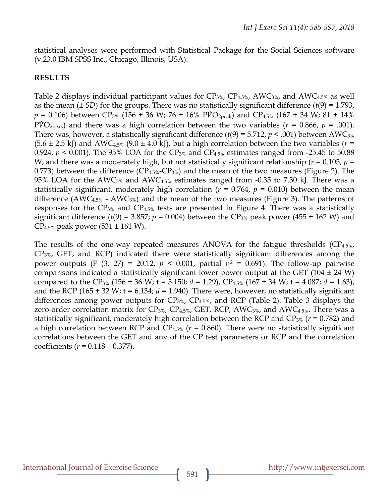statistical analyses were performed with Statistical Package for the Social Sciences software (v.23.0 IBM SPSS Inc., Chicago, Illinois, USA).

### **RESULTS**

Table 2 displays individual participant values for  $CP_{3\%}$ ,  $CP_{4.5\%}$ , AWC<sub>3%</sub>, and AWC<sub>4.5%</sub> as well as the mean  $(\pm SD)$  for the groups. There was no statistically significant difference  $(t(9) = 1.793$ ,  $p = 0.106$ ) between CP<sub>3%</sub> (156 ± 36 W; 76 ± 16% PVO<sub>2peak</sub>) and CP<sub>4.5%</sub> (167 ± 34 W; 81 ± 14%  $P\dot{V}O_{\text{2peak}}$ ) and there was a high correlation between the two variables ( $r = 0.866$ ,  $p = .001$ ). There was, however, a statistically significant difference  $(t(9) = 5.712, p < .001)$  between AWC<sub>3%</sub>  $(5.6 \pm 2.5 \text{ kJ})$  and AWC<sub>4.5%</sub>  $(9.0 \pm 4.0 \text{ kJ})$ , but a high correlation between the two variables (*r* = 0.924,  $p < 0.001$ ). The 95% LOA for the CP<sub>3%</sub> and CP<sub>4.5%</sub> estimates ranged from -25.45 to 50.88 W, and there was a moderately high, but not statistically significant relationship ( $r = 0.105$ ,  $p =$ 0.773) between the difference  $(CP_{4.5\%}-CP_{3\%})$  and the mean of the two measures (Figure 2). The 95% LOA for the AWC<sub>3%</sub> and AWC<sub>4.5%</sub> estimates ranged from -0.35 to 7.30 kJ. There was a statistically significant, moderately high correlation ( $r = 0.764$ ,  $p = 0.010$ ) between the mean difference (AWC<sub>4.5%</sub> - AWC<sub>3%</sub>) and the mean of the two measures (Figure 3). The patterns of responses for the  $CP_{3\%}$  and  $CP_{4.5\%}$  tests are presented in Figure 4. There was a statistically significant difference ( $t(9)$  = 3.857;  $p$  = 0.004) between the CP<sub>3%</sub> peak power (455  $\pm$  162 W) and  $CP_{4.5\%}$  peak power (531 ± 161 W).

The results of the one-way repeated measures ANOVA for the fatigue thresholds  $(CP_{4.5\%},$ CP3%, GET, and RCP) indicated there were statistically significant differences among the power outputs (F  $(3, 27) = 20.12$ ,  $p < 0.001$ , partial  $\eta^2 = 0.691$ ). The follow-up pairwise comparisons indicated a statistically significant lower power output at the GET (104  $\pm$  24 W) compared to the CP3% (156 ± 36 W; t = 5.150; *d =* 1.29), CP4.5% (167 ± 34 W; t = 4.087; *d =* 1.63), and the RCP (165 ± 32 W; t = 6.134; *d =* 1.940). There were, however, no statistically significant differences among power outputs for  $CP_{3\%}$ ,  $CP_{4.5\%}$ , and RCP (Table 2). Table 3 displays the zero-order correlation matrix for  $CP_{3\%}$ ,  $CP_{4.5\%}$ , GET, RCP, AWC<sub>3%</sub>, and AWC<sub>4.5%</sub>. There was a statistically significant, moderately high correlation between the RCP and CP3% (*r* = 0.782) and a high correlation between RCP and  $CP_{4.5\%}$  ( $r = 0.860$ ). There were no statistically significant correlations between the GET and any of the CP test parameters or RCP and the correlation coefficients (*r* = 0.118 – 0.377).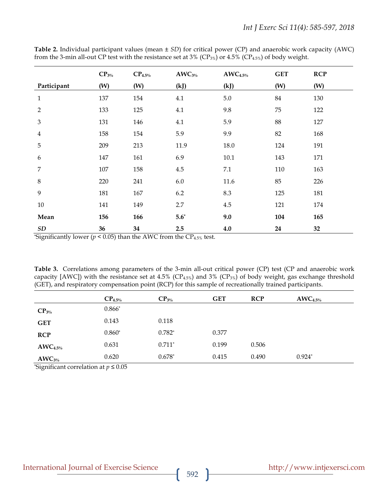|                | $CP_{3\%}$ | $CP_{4.5\%}$ | $\text{AWC}_{3\%}$ | $\text{AWC}_{4.5\%}$ | <b>GET</b> | <b>RCP</b> |
|----------------|------------|--------------|--------------------|----------------------|------------|------------|
| Participant    | (W)        | (W)          | (kJ)               | (kJ)                 | (W)        | (W)        |
| $\mathbf{1}$   | 137        | 154          | 4.1                | 5.0                  | 84         | 130        |
| $\overline{2}$ | 133        | 125          | 4.1                | 9.8                  | 75         | 122        |
| 3              | 131        | 146          | 4.1                | 5.9                  | 88         | 127        |
| $\overline{4}$ | 158        | 154          | 5.9                | 9.9                  | 82         | 168        |
| 5              | 209        | 213          | 11.9               | 18.0                 | 124        | 191        |
| 6              | 147        | 161          | 6.9                | 10.1                 | 143        | 171        |
| 7              | 107        | 158          | 4.5                | 7.1                  | 110        | 163        |
| $\,8\,$        | 220        | 241          | 6.0                | 11.6                 | 85         | 226        |
| 9              | 181        | 167          | 6.2                | 8.3                  | 125        | 181        |
| 10             | 141        | 149          | 2.7                | 4.5                  | 121        | 174        |
| Mean           | 156        | 166          | $5.6^*$            | 9.0                  | 104        | 165        |
| SD             | 36         | 34           | 2.5                | 4.0                  | 24         | 32         |

**Table 2.** Individual participant values (mean ± *SD*) for critical power (CP) and anaerobic work capacity (AWC) from the 3-min all-out CP test with the resistance set at 3% (CP<sub>3%</sub>) or 4.5% (CP<sub>4.5%</sub>) of body weight.

\*Significantly lower ( $p < 0.05$ ) than the AWC from the CP<sub>4.5%</sub> test.

**Table 3.** Correlations among parameters of the 3-min all-out critical power (CP) test (CP and anaerobic work capacity [AWC]) with the resistance set at 4.5% (CP<sub>4.5%</sub>) and 3% (CP<sub>3%</sub>) of body weight, gas exchange threshold (GET), and respiratory compensation point (RCP) for this sample of recreationally trained participants.

|                      | $CP_{4.5\%}$ | $CP_{3\%}$ | <b>GET</b> | <b>RCP</b> | $\text{AWC}_{4.5\%}$ |
|----------------------|--------------|------------|------------|------------|----------------------|
| $CP_{3\%}$           | $0.866*$     |            |            |            |                      |
| <b>GET</b>           | 0.143        | 0.118      |            |            |                      |
| <b>RCP</b>           | $0.860*$     | $0.782*$   | 0.377      |            |                      |
| $\text{AWC}_{4.5\%}$ | 0.631        | $0.711*$   | 0.199      | 0.506      |                      |
| $\text{AWC}_{3\%}$   | 0.620        | $0.678*$   | 0.415      | 0.490      | $0.924*$             |

\*Significant correlation at *p* ≤ 0.05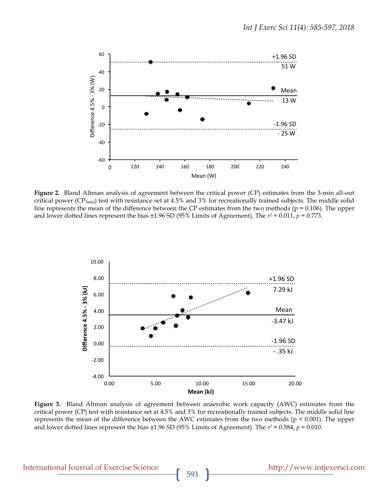

**Figure 2.** Bland Altman analysis of agreement between the critical power (CP) estimates from the 3-min all-out critical power ( $CP_{3min}$ ) test with resistance set at 4.5% and 3% for recreationally trained subjects. The middle solid line represents the mean of the difference between the CP estimates from the two methods ( $p = 0.106$ ). The upper and lower dotted lines represent the bias  $\pm 1.96$  SD (95% Limits of Agreement). The  $r^2 = 0.011$ ,  $p = 0.773$ .



**Figure 3.** Bland Altman analysis of agreement between anaerobic work capacity (AWC) estimates from the critical power (CP) test with resistance set at 4.5% and 3% for recreationally trained subjects. The middle solid line represents the mean of the difference between the AWC estimates from the two methods (p < 0.001). The upper and lower dotted lines represent the bias  $\pm 1.96$  SD (95% Limits of Agreement). The  $r^2 = 0.584$ ,  $p = 0.010$ .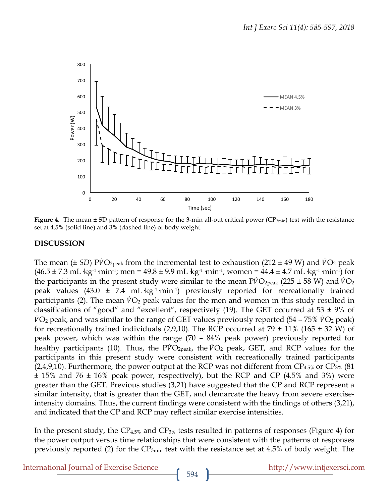

**Figure 4.** The mean ± SD pattern of response for the 3-min all-out critical power (CP<sub>3min</sub>) test with the resistance set at 4.5% (solid line) and 3% (dashed line) of body weight.

# **DISCUSSION**

The mean ( $\pm$  *SD*) PVO<sub>2peak</sub> from the incremental test to exhaustion (212  $\pm$  49 W) and VO<sub>2</sub> peak  $(46.5 \pm 7.3 \text{ mL} \cdot \text{kg}^{-1} \text{ min}^{-1}$ ; men =  $49.8 \pm 9.9 \text{ mL} \cdot \text{kg}^{-1} \text{ min}^{-1}$ ; women =  $44.4 \pm 4.7 \text{ mL} \cdot \text{kg}^{-1} \text{ min}^{-1}$ ) for the participants in the present study were similar to the mean  $\dot{PVO}_{2\text{peak}}$  (225  $\pm$  58 W) and  $\dot{VO}_2$ peak values  $(43.0 \pm 7.4 \text{ mL kg}^{-1} \text{min}^{-1})$  previously reported for recreationally trained participants (2). The mean  $\dot{V}O_2$  peak values for the men and women in this study resulted in classifications of "good" and "excellent", respectively (19). The GET occurred at 53  $\pm$  9% of  $\dot{V}O_2$  peak, and was similar to the range of GET values previously reported (54 – 75%  $\dot{V}O_2$  peak) for recreationally trained individuals (2,9,10). The RCP occurred at 79  $\pm$  11% (165  $\pm$  32 W) of peak power, which was within the range (70 – 84% peak power) previously reported for healthy participants (10). Thus, the  $PVO<sub>2peak</sub>$ , the  $VO<sub>2</sub>$  peak, GET, and RCP values for the participants in this present study were consistent with recreationally trained participants  $(2,4,9,10)$ . Furthermore, the power output at the RCP was not different from CP<sub>4.5%</sub> or CP<sub>3%</sub> (81) ± 15% and 76 ± 16% peak power, respectively), but the RCP and CP (4.5% and 3%) were greater than the GET. Previous studies (3,21) have suggested that the CP and RCP represent a similar intensity, that is greater than the GET, and demarcate the heavy from severe exerciseintensity domains. Thus, the current findings were consistent with the findings of others (3,21), and indicated that the CP and RCP may reflect similar exercise intensities.

In the present study, the  $CP_{4.5\%}$  and  $CP_{3\%}$  tests resulted in patterns of responses (Figure 4) for the power output versus time relationships that were consistent with the patterns of responses previously reported (2) for the  $CP_{3min}$  test with the resistance set at 4.5% of body weight. The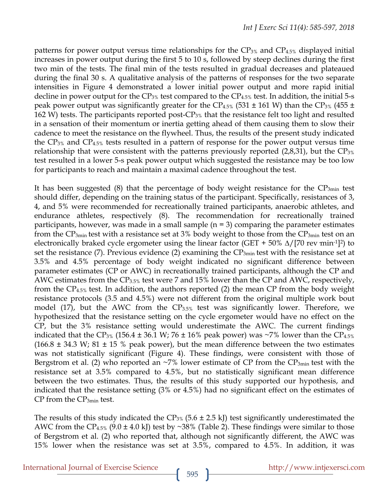patterns for power output versus time relationships for the  $CP_{3\%}$  and  $CP_{4.5\%}$  displayed initial increases in power output during the first 5 to 10 s, followed by steep declines during the first two min of the tests. The final min of the tests resulted in gradual decreases and plateaued during the final 30 s. A qualitative analysis of the patterns of responses for the two separate intensities in Figure 4 demonstrated a lower initial power output and more rapid initial decline in power output for the  $CP_{3\%}$  test compared to the  $CP_{4.5\%}$  test. In addition, the initial 5-s peak power output was significantly greater for the CP<sub>4.5%</sub> (531  $\pm$  161 W) than the CP<sub>3%</sub> (455  $\pm$ 162 W) tests. The participants reported post-CP3% that the resistance felt too light and resulted in a sensation of their momentum or inertia getting ahead of them causing them to slow their cadence to meet the resistance on the flywheel. Thus, the results of the present study indicated the  $CP_{3\%}$  and  $CP_{4.5\%}$  tests resulted in a pattern of response for the power output versus time relationship that were consistent with the patterns previously reported  $(2,8,31)$ , but the CP<sub>3%</sub> test resulted in a lower 5-s peak power output which suggested the resistance may be too low for participants to reach and maintain a maximal cadence throughout the test.

It has been suggested  $(8)$  that the percentage of body weight resistance for the  $CP_{3min}$  test should differ, depending on the training status of the participant. Specifically, resistances of 3, 4, and 5% were recommended for recreationally trained participants, anaerobic athletes, and endurance athletes, respectively (8). The recommendation for recreationally trained participants, however, was made in a small sample  $(n = 3)$  comparing the parameter estimates from the  $CP_{3min}$  test with a resistance set at 3% body weight to those from the  $CP_{3min}$  test on an electronically braked cycle ergometer using the linear factor (GET + 50%  $\Delta/[70 \text{ rev min-1}]^2$ ) to set the resistance (7). Previous evidence (2) examining the  $CP_{3min}$  test with the resistance set at 3.5% and 4.5% percentage of body weight indicated no significant difference between parameter estimates (CP or AWC) in recreationally trained participants, although the CP and AWC estimates from the CP3.5% test were 7 and 15% lower than the CP and AWC, respectively, from the CP4.5% test. In addition, the authors reported (2) the mean CP from the body weight resistance protocols (3.5 and 4.5%) were not different from the original multiple work bout model (17), but the AWC from the  $CP<sub>3.5%</sub>$  test was significantly lower. Therefore, we hypothesized that the resistance setting on the cycle ergometer would have no effect on the CP, but the 3% resistance setting would underestimate the AWC. The current findings indicated that the CP<sub>3%</sub> (156.4  $\pm$  36.1 W; 76  $\pm$  16% peak power) was ~7% lower than the CP<sub>4.5%</sub>  $(166.8 \pm 34.3 \text{ W}; 81 \pm 15 \text{ % peak power})$ , but the mean difference between the two estimates was not statistically significant (Figure 4). These findings, were consistent with those of Bergstrom et al. (2) who reported an  $\sim$ 7% lower estimate of CP from the CP<sub>3min</sub> test with the resistance set at 3.5% compared to 4.5%, but no statistically significant mean difference between the two estimates. Thus, the results of this study supported our hypothesis, and indicated that the resistance setting (3% or 4.5%) had no significant effect on the estimates of CP from the CP3min test.

The results of this study indicated the  $CP_{3\%}$  (5.6 ± 2.5 kJ) test significantly underestimated the AWC from the CP<sub>4.5%</sub>  $(9.0 \pm 4.0 \text{ kJ})$  test by ~38% (Table 2). These findings were similar to those of Bergstrom et al. (2) who reported that, although not significantly different, the AWC was 15% lower when the resistance was set at 3.5%, compared to 4.5%. In addition, it was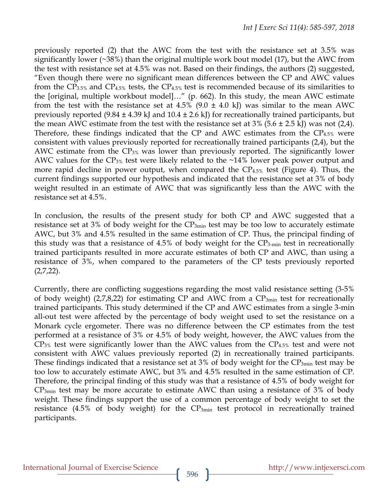previously reported (2) that the AWC from the test with the resistance set at 3.5% was significantly lower (~38%) than the original multiple work bout model (17), but the AWC from the test with resistance set at 4.5% was not. Based on their findings, the authors (2) suggested, "Even though there were no significant mean differences between the CP and AWC values from the  $CP_{3.5\%}$  and  $CP_{4.5\%}$  tests, the  $CP_{4.5\%}$  test is recommended because of its similarities to the [original, multiple workbout model]…" (p. 662). In this study, the mean AWC estimate from the test with the resistance set at  $4.5\%$  (9.0  $\pm$  4.0 kJ) was similar to the mean AWC previously reported  $(9.84 \pm 4.39 \text{ kJ}$  and  $10.4 \pm 2.6 \text{ kJ})$  for recreationally trained participants, but the mean AWC estimate from the test with the resistance set at  $3\%$  (5.6  $\pm$  2.5 kJ) was not (2,4). Therefore, these findings indicated that the CP and AWC estimates from the  $CP_{4.5\%}$  were consistent with values previously reported for recreationally trained participants (2,4), but the AWC estimate from the CP3% was lower than previously reported. The significantly lower AWC values for the  $CP_{3\%}$  test were likely related to the  $~14\%$  lower peak power output and more rapid decline in power output, when compared the  $CP_{4.5\%}$  test (Figure 4). Thus, the current findings supported our hypothesis and indicated that the resistance set at 3% of body weight resulted in an estimate of AWC that was significantly less than the AWC with the resistance set at 4.5%.

In conclusion, the results of the present study for both CP and AWC suggested that a resistance set at 3% of body weight for the  $CP_{3min}$  test may be too low to accurately estimate AWC, but 3% and 4.5% resulted in the same estimation of CP. Thus, the principal finding of this study was that a resistance of 4.5% of body weight for the CP3-min test in recreationally trained participants resulted in more accurate estimates of both CP and AWC, than using a resistance of 3%, when compared to the parameters of the CP tests previously reported  $(2,7,22)$ .

Currently, there are conflicting suggestions regarding the most valid resistance setting (3-5% of body weight) (2,7,8,22) for estimating CP and AWC from a  $CP_{3min}$  test for recreationally trained participants. This study determined if the CP and AWC estimates from a single 3-min all-out test were affected by the percentage of body weight used to set the resistance on a Monark cycle ergometer. There was no difference between the CP estimates from the test performed at a resistance of 3% or 4.5% of body weight, however, the AWC values from the  $CP_{3\%}$  test were significantly lower than the AWC values from the  $CP_{4.5\%}$  test and were not consistent with AWC values previously reported (2) in recreationally trained participants. These findings indicated that a resistance set at  $3\%$  of body weight for the CP<sub>3min</sub> test may be too low to accurately estimate AWC, but 3% and 4.5% resulted in the same estimation of CP. Therefore, the principal finding of this study was that a resistance of 4.5% of body weight for CP3min test may be more accurate to estimate AWC than using a resistance of 3% of body weight. These findings support the use of a common percentage of body weight to set the resistance  $(4.5\%$  of body weight) for the  $CP_{3min}$  test protocol in recreationally trained participants.